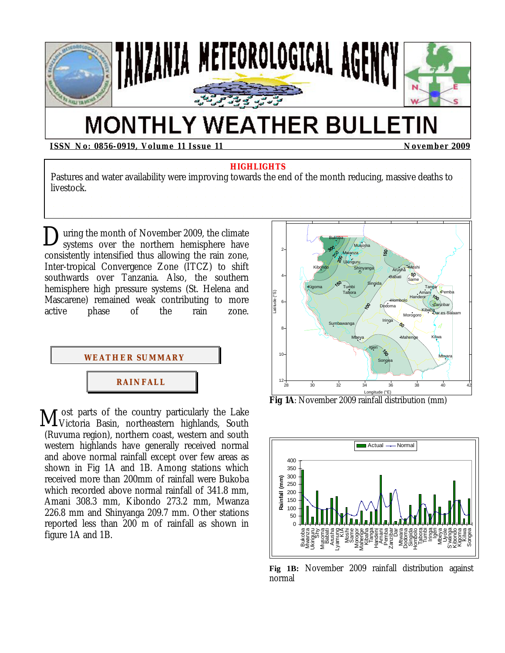

# **MONTHLY WEATHER BULLETIN**

**ISSN No: 0856-0919, Volume 11 Issue 11 November 2009** 

**HIGHLIGHTS** Pastures and water availability were improving towards the end of the month reducing, massive deaths to livestock.

uring the month of November 2009, the climate During the month of November 2009, the climate<br>systems over the northern hemisphere have consistently intensified thus allowing the rain zone, Inter-tropical Convergence Zone (ITCZ) to shift southwards over Tanzania. Also, the southern hemisphere high pressure systems (St. Helena and Mascarene) remained weak contributing to more active phase of the rain zone.



I ost parts of the country particularly the Lake M ost parts of the country particularly the Lake<br>Wictoria Basin, northeastern highlands, South (Ruvuma region), northern coast, western and south western highlands have generally received normal and above normal rainfall except over few areas as shown in Fig 1A and 1B. Among stations which received more than 200mm of rainfall were Bukoba which recorded above normal rainfall of 341.8 mm, Amani 308.3 mm, Kibondo 273.2 mm, Mwanza 226.8 mm and Shinyanga 209.7 mm. Other stations reported less than 200 m of rainfall as shown in figure 1A and 1B.



**Fig 1A**: November 2009 rainfall distribution (mm)



**Fig 1B:** November 2009 rainfall distribution against normal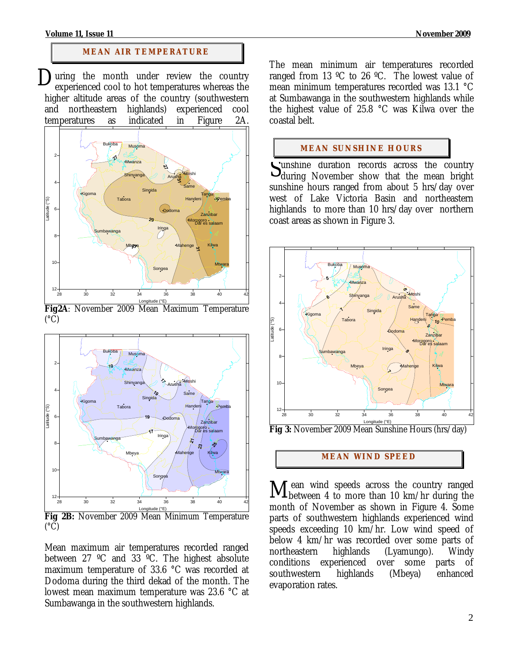#### **Volume 11, Issue 11 November 2009**

## **MEAN AIR TEMPERATURE**

uring the month under review the country experienced cool to hot temperatures whereas the higher altitude areas of the country (southwestern and northeastern highlands) experienced cool temperatures as indicated in Figure 2A. D



**Fig2A**: November 2009 Mean Maximum Temperature  $(^{\circ}C)$ 



**Fig 2B:** November 2009 Mean Minimum Temperature  $({}^{\circ}C)$ 

Mean maximum air temperatures recorded ranged between 27 ºC and 33 ºC. The highest absolute maximum temperature of 33.6 °C was recorded at Dodoma during the third dekad of the month. The lowest mean maximum temperature was 23.6 °C at Sumbawanga in the southwestern highlands.

The mean minimum air temperatures recorded ranged from 13 ºC to 26 ºC. The lowest value of mean minimum temperatures recorded was 13.1 °C at Sumbawanga in the southwestern highlands while the highest value of 25.8 °C was Kilwa over the coastal belt.

## **MEAN SUNSHINE HOURS**

unshine duration records across the country Sunshine duration records across the country<br>during November show that the mean bright sunshine hours ranged from about 5 hrs/day over west of Lake Victoria Basin and northeastern highlands to more than 10 hrs/day over northern coast areas as shown in Figure 3.



**Fig 3:** November 2009 Mean Sunshine Hours (hrs/day)

## **MEAN WI ND SPEED**

 ean wind speeds across the country ranged Mean wind speeds across the country ranged between 4 to more than 10 km/hr during the month of November as shown in Figure 4. Some parts of southwestern highlands experienced wind speeds exceeding 10 km/hr. Low wind speed of below 4 km/hr was recorded over some parts of northeastern highlands (Lyamungo). Windy conditions experienced over some parts of southwestern highlands (Mbeya) enhanced evaporation rates.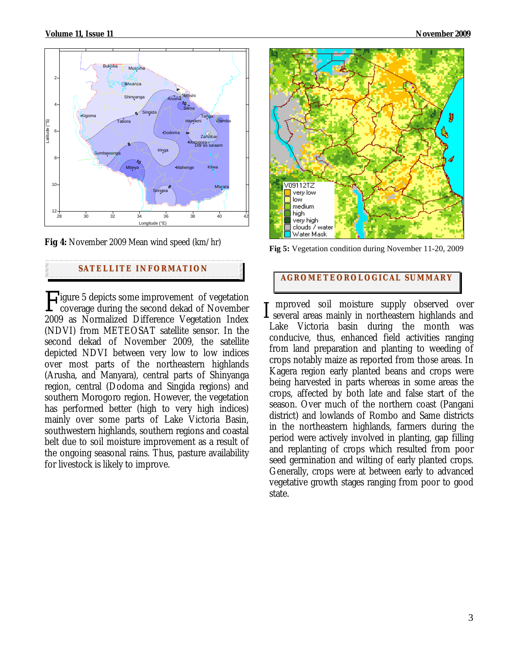

**Fig 4:** November 2009 Mean wind speed (km/hr)

# **SATELLITE I NFORMATION**

Figure 5 depicts some improvement of vegetation<br>
coverage during the second dekad of November<br>
2009 as Normalized Difference Vegetation Index coverage during the second dekad of November 2009 as Normalized Difference Vegetation Index (NDVI) from METEOSAT satellite sensor. In the second dekad of November 2009, the satellite depicted NDVI between very low to low indices over most parts of the northeastern highlands (Arusha, and Manyara), central parts of Shinyanga region, central (Dodoma and Singida regions) and southern Morogoro region. However, the vegetation has performed better (high to very high indices) mainly over some parts of Lake Victoria Basin, southwestern highlands, southern regions and coastal belt due to soil moisture improvement as a result of the ongoing seasonal rains. Thus, pasture availability for livestock is likely to improve.



**Fig 5:** Vegetation condition during November 11-20, 2009

# **AGROMETEOROLOGICAL SUMMARY**

 mproved soil moisture supply observed over  $\perp$  several areas mainly in northeastern highlands and Lake Victoria basin during the month was conducive, thus, enhanced field activities ranging from land preparation and planting to weeding of crops notably maize as reported from those areas. In Kagera region early planted beans and crops were being harvested in parts whereas in some areas the crops, affected by both late and false start of the season. Over much of the northern coast (Pangani district) and lowlands of Rombo and Same districts in the northeastern highlands, farmers during the period were actively involved in planting, gap filling and replanting of crops which resulted from poor seed germination and wilting of early planted crops. Generally, crops were at between early to advanced vegetative growth stages ranging from poor to good state.